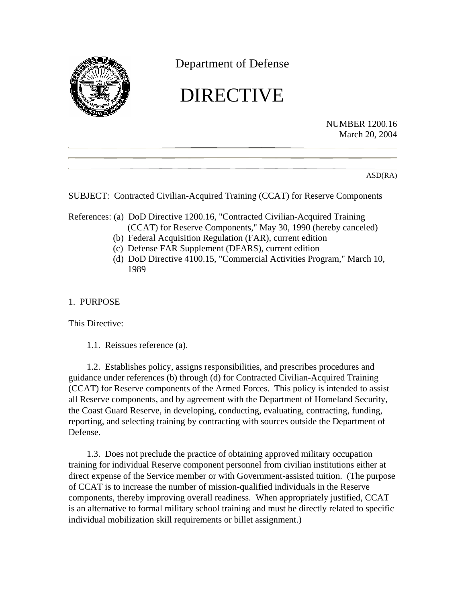

Department of Defense

# DIRECTIVE

NUMBER 1200.16 March 20, 2004

ASD(RA)

SUBJECT: Contracted Civilian-Acquired Training (CCAT) for Reserve Components

- References: (a) DoD Directive 1200.16, "Contracted Civilian-Acquired Training (CCAT) for Reserve Components," May 30, 1990 (hereby canceled)
	- (b) Federal Acquisition Regulation (FAR), current edition
	- (c) Defense FAR Supplement (DFARS), current edition
	- (d) DoD Directive 4100.15, "Commercial Activities Program," March 10, 1989

# 1. PURPOSE

This Directive:

1.1. Reissues reference (a).

1.2. Establishes policy, assigns responsibilities, and prescribes procedures and guidance under references (b) through (d) for Contracted Civilian-Acquired Training (CCAT) for Reserve components of the Armed Forces. This policy is intended to assist all Reserve components, and by agreement with the Department of Homeland Security, the Coast Guard Reserve, in developing, conducting, evaluating, contracting, funding, reporting, and selecting training by contracting with sources outside the Department of Defense.

1.3. Does not preclude the practice of obtaining approved military occupation training for individual Reserve component personnel from civilian institutions either at direct expense of the Service member or with Government-assisted tuition. (The purpose of CCAT is to increase the number of mission-qualified individuals in the Reserve components, thereby improving overall readiness. When appropriately justified, CCAT is an alternative to formal military school training and must be directly related to specific individual mobilization skill requirements or billet assignment.)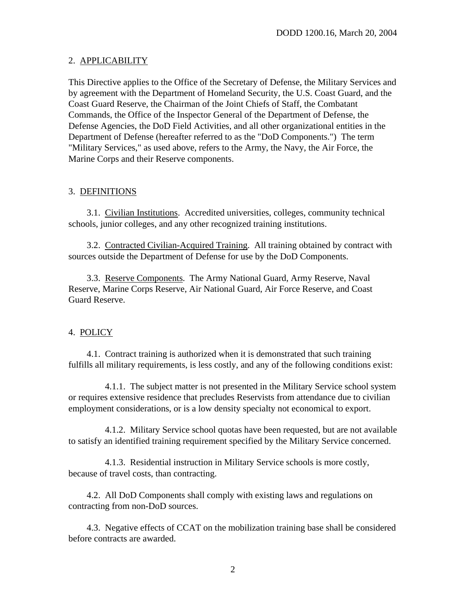## 2. APPLICABILITY

This Directive applies to the Office of the Secretary of Defense, the Military Services and by agreement with the Department of Homeland Security, the U.S. Coast Guard, and the Coast Guard Reserve, the Chairman of the Joint Chiefs of Staff, the Combatant Commands, the Office of the Inspector General of the Department of Defense, the Defense Agencies, the DoD Field Activities, and all other organizational entities in the Department of Defense (hereafter referred to as the "DoD Components.") The term "Military Services," as used above, refers to the Army, the Navy, the Air Force, the Marine Corps and their Reserve components.

## 3. DEFINITIONS

3.1. Civilian Institutions. Accredited universities, colleges, community technical schools, junior colleges, and any other recognized training institutions.

3.2. Contracted Civilian-Acquired Training. All training obtained by contract with sources outside the Department of Defense for use by the DoD Components.

3.3. Reserve Components. The Army National Guard, Army Reserve, Naval Reserve, Marine Corps Reserve, Air National Guard, Air Force Reserve, and Coast Guard Reserve.

# 4. POLICY

4.1. Contract training is authorized when it is demonstrated that such training fulfills all military requirements, is less costly, and any of the following conditions exist:

4.1.1. The subject matter is not presented in the Military Service school system or requires extensive residence that precludes Reservists from attendance due to civilian employment considerations, or is a low density specialty not economical to export.

4.1.2. Military Service school quotas have been requested, but are not available to satisfy an identified training requirement specified by the Military Service concerned.

4.1.3. Residential instruction in Military Service schools is more costly, because of travel costs, than contracting.

4.2. All DoD Components shall comply with existing laws and regulations on contracting from non-DoD sources.

4.3. Negative effects of CCAT on the mobilization training base shall be considered before contracts are awarded.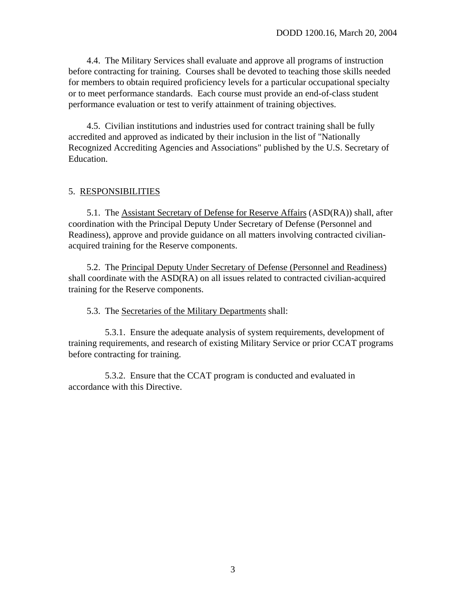4.4. The Military Services shall evaluate and approve all programs of instruction before contracting for training. Courses shall be devoted to teaching those skills needed for members to obtain required proficiency levels for a particular occupational specialty or to meet performance standards. Each course must provide an end-of-class student performance evaluation or test to verify attainment of training objectives.

4.5. Civilian institutions and industries used for contract training shall be fully accredited and approved as indicated by their inclusion in the list of "Nationally Recognized Accrediting Agencies and Associations" published by the U.S. Secretary of Education.

#### 5. RESPONSIBILITIES

5.1. The Assistant Secretary of Defense for Reserve Affairs (ASD(RA)) shall, after coordination with the Principal Deputy Under Secretary of Defense (Personnel and Readiness), approve and provide guidance on all matters involving contracted civilianacquired training for the Reserve components.

5.2. The Principal Deputy Under Secretary of Defense (Personnel and Readiness) shall coordinate with the ASD(RA) on all issues related to contracted civilian-acquired training for the Reserve components.

5.3. The Secretaries of the Military Departments shall:

5.3.1. Ensure the adequate analysis of system requirements, development of training requirements, and research of existing Military Service or prior CCAT programs before contracting for training.

5.3.2. Ensure that the CCAT program is conducted and evaluated in accordance with this Directive.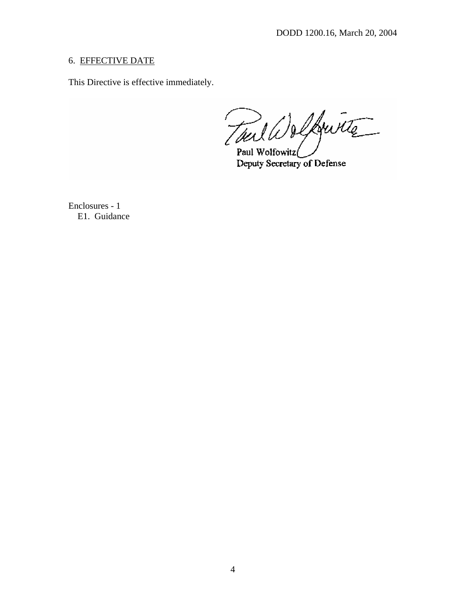## 6. EFFECTIVE DATE

This Directive is effective immediately.

Tail Welkwitte Paul Wolfowitz

Deputy Secretary of Defense

Enclosures - 1 E1. Guidance